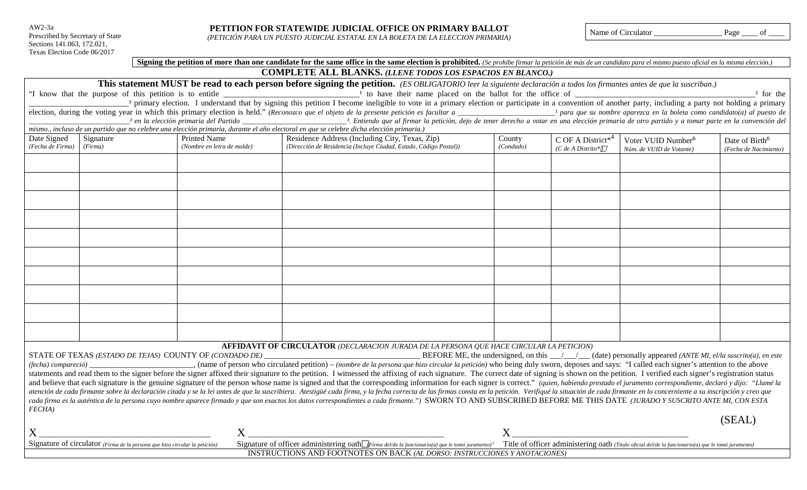AW2-3a Prescribed by Secretary of State Sections 141.063, 172.021, Texas Election Code 06/2017

*(PETICIÓN PARA UN PUESTO JUDICIAL ESTATAL EN LA BOLETA DE LA ELECCION PRIMARIA)* Name of Circulator \_\_\_\_\_\_\_\_\_\_\_\_\_\_\_\_\_ Page \_\_\_\_ of \_\_\_\_

|                  |                                                                             |                            | <b>This statement MUST be read to each person before signing the petition.</b> (ES OBLIGATORIO leer la siguiente declaración a todos los firmantes antes de que la suscriban.)                                                 |           |                               |                                                                                                                                |                            |
|------------------|-----------------------------------------------------------------------------|----------------------------|--------------------------------------------------------------------------------------------------------------------------------------------------------------------------------------------------------------------------------|-----------|-------------------------------|--------------------------------------------------------------------------------------------------------------------------------|----------------------------|
|                  |                                                                             |                            |                                                                                                                                                                                                                                |           |                               |                                                                                                                                |                            |
|                  |                                                                             |                            |                                                                                                                                                                                                                                |           |                               |                                                                                                                                |                            |
|                  |                                                                             |                            |                                                                                                                                                                                                                                |           |                               |                                                                                                                                |                            |
|                  |                                                                             |                            | mismo., incluso de un partido que no celebre una elección primaria, durante el año electoral en que se celebre dicha elección primaria.)                                                                                       |           |                               |                                                                                                                                |                            |
| Date Signed      | Signature                                                                   | <b>Printed Name</b>        | Residence Address (Including City, Texas, Zip)                                                                                                                                                                                 | County    | C OF A District <sup>*4</sup> | Voter VUID Number <sup>6</sup>                                                                                                 | Date of Birth <sup>6</sup> |
| (Fecha de Firma) | (Firma)                                                                     | (Nombre en letra de molde) | (Dirección de Residencia (Incluye Ciudad, Estado, Código Postal))                                                                                                                                                              | (Condado) | (C de A Distrito* $\Box$      | Núm. de VUID de Votante)                                                                                                       | (Fecha de Nacimiento)      |
|                  |                                                                             |                            |                                                                                                                                                                                                                                |           |                               |                                                                                                                                |                            |
|                  |                                                                             |                            |                                                                                                                                                                                                                                |           |                               |                                                                                                                                |                            |
|                  |                                                                             |                            |                                                                                                                                                                                                                                |           |                               |                                                                                                                                |                            |
|                  |                                                                             |                            |                                                                                                                                                                                                                                |           |                               |                                                                                                                                |                            |
|                  |                                                                             |                            |                                                                                                                                                                                                                                |           |                               |                                                                                                                                |                            |
|                  |                                                                             |                            |                                                                                                                                                                                                                                |           |                               |                                                                                                                                |                            |
|                  |                                                                             |                            |                                                                                                                                                                                                                                |           |                               |                                                                                                                                |                            |
|                  |                                                                             |                            |                                                                                                                                                                                                                                |           |                               |                                                                                                                                |                            |
|                  |                                                                             |                            |                                                                                                                                                                                                                                |           |                               |                                                                                                                                |                            |
|                  |                                                                             |                            |                                                                                                                                                                                                                                |           |                               |                                                                                                                                |                            |
|                  |                                                                             |                            |                                                                                                                                                                                                                                |           |                               |                                                                                                                                |                            |
|                  |                                                                             |                            |                                                                                                                                                                                                                                |           |                               |                                                                                                                                |                            |
|                  |                                                                             |                            |                                                                                                                                                                                                                                |           |                               |                                                                                                                                |                            |
|                  |                                                                             |                            |                                                                                                                                                                                                                                |           |                               |                                                                                                                                |                            |
|                  |                                                                             |                            |                                                                                                                                                                                                                                |           |                               |                                                                                                                                |                            |
|                  |                                                                             |                            |                                                                                                                                                                                                                                |           |                               |                                                                                                                                |                            |
|                  |                                                                             |                            |                                                                                                                                                                                                                                |           |                               |                                                                                                                                |                            |
|                  |                                                                             |                            |                                                                                                                                                                                                                                |           |                               |                                                                                                                                |                            |
|                  |                                                                             |                            | AFFIDAVIT OF CIRCULATOR (DECLARACION JURADA DE LA PERSONA QUE HACE CIRCULAR LA PETICION)                                                                                                                                       |           |                               |                                                                                                                                |                            |
|                  | STATE OF TEXAS (ESTADO DE TEJAS) COUNTY OF (CONDADO DE)                     |                            |                                                                                                                                                                                                                                |           |                               | BEFORE ME, the undersigned, on this $\angle$ $\angle$ $\angle$ (date) personally appeared (ANTE MI, el/la suscrito(a), en este |                            |
|                  |                                                                             |                            | statements and read them to the signer before the signer affixed their signature to the petition. I witnessed the affixing of each signature. The correct date of signing is shown on the petition. I verified each signer's r |           |                               |                                                                                                                                |                            |
|                  |                                                                             |                            | and believe that each signature is the genuine signature of the person whose name is signed and that the corresponding information for each signer is correct." (quien, habiendo prestado el juramento correspondiente, declar |           |                               |                                                                                                                                |                            |
|                  |                                                                             |                            | atención de cada firmante sobre la declaración citada y se la lei antes de que la suscribiera. Atestigüé cada firma, y la fecha correcta de las firmas consta en la petición. Verifiqué la situación de cada firmante en lo co |           |                               |                                                                                                                                |                            |
|                  |                                                                             |                            | cada firma es la auténtica de la persona cuyo nombre aparece firmado y que son exactos los datos correspondientes a cada firmante.") SWORN TO AND SUBSCRIBED BEFORE ME THIS DATE (JURADO Y SUSCRITO ANTE MI, CON ESTA          |           |                               |                                                                                                                                |                            |
| <b>FECHA</b> )   |                                                                             |                            |                                                                                                                                                                                                                                |           |                               |                                                                                                                                |                            |
|                  |                                                                             |                            |                                                                                                                                                                                                                                |           |                               |                                                                                                                                | (SEAL)                     |
| X                |                                                                             | $X_{\cdot}$                |                                                                                                                                                                                                                                | X         |                               |                                                                                                                                |                            |
|                  | Signature of circulator (Firma de la persona que hizo circular la petición) |                            | Signature of officer administering oath Firma del/de la funcionario(a) que le tomó juramento) <sup>5</sup> Title of officer administering oath (Titulo oficial del/de la funcionario(a) que le tomó juramento)                 |           |                               |                                                                                                                                |                            |

**COMPLETE ALL BLANKS.** *(LLENE TODOS LOS ESPACIOS EN BLANCO.)*

Signing the petition of more than one candidate for the same office in the same election is prohibited. (Se prohibe firmar la petición de más de un candidato para el mismo puesto oficial en la misma elección.)

INSTRUCTIONS AND FOOTNOTES ON BACK *(AL DORSO: INSTRUCCIONES Y ANOTACIONES)*